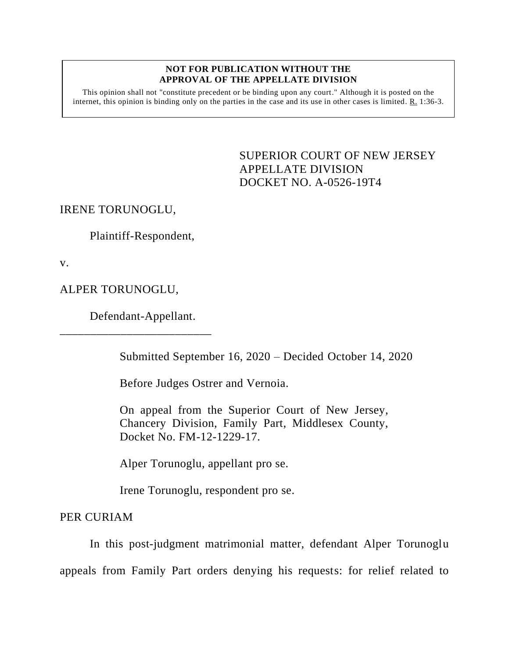#### **NOT FOR PUBLICATION WITHOUT THE APPROVAL OF THE APPELLATE DIVISION**

This opinion shall not "constitute precedent or be binding upon any court." Although it is posted on the internet, this opinion is binding only on the parties in the case and its use in other cases is limited. R. 1:36-3.

> <span id="page-0-0"></span>SUPERIOR COURT OF NEW JERSEY APPELLATE DIVISION DOCKET NO. A-0526-19T4

IRENE TORUNOGLU,

Plaintiff-Respondent,

v.

ALPER TORUNOGLU,

Defendant-Appellant.

\_\_\_\_\_\_\_\_\_\_\_\_\_\_\_\_\_\_\_\_\_\_\_\_\_

Submitted September 16, 2020 – Decided October 14, 2020

Before Judges Ostrer and Vernoia.

On appeal from the Superior Court of New Jersey, Chancery Division, Family Part, Middlesex County, Docket No. FM-12-1229-17.

Alper Torunoglu, appellant pro se.

Irene Torunoglu, respondent pro se.

PER CURIAM

In this post-judgment matrimonial matter, defendant Alper Torunoglu appeals from Family Part orders denying his requests: for relief related to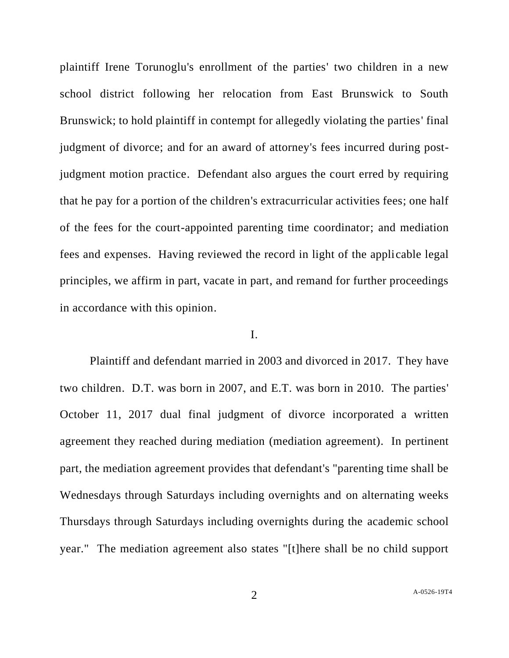plaintiff Irene Torunoglu's enrollment of the parties' two children in a new school district following her relocation from East Brunswick to South Brunswick; to hold plaintiff in contempt for allegedly violating the parties' final judgment of divorce; and for an award of attorney's fees incurred during postjudgment motion practice. Defendant also argues the court erred by requiring that he pay for a portion of the children's extracurricular activities fees; one half of the fees for the court-appointed parenting time coordinator; and mediation fees and expenses. Having reviewed the record in light of the applicable legal principles, we affirm in part, vacate in part, and remand for further proceedings in accordance with this opinion.

#### I.

Plaintiff and defendant married in 2003 and divorced in 2017. They have two children. D.T. was born in 2007, and E.T. was born in 2010. The parties' October 11, 2017 dual final judgment of divorce incorporated a written agreement they reached during mediation (mediation agreement). In pertinent part, the mediation agreement provides that defendant's "parenting time shall be Wednesdays through Saturdays including overnights and on alternating weeks Thursdays through Saturdays including overnights during the academic school year." The mediation agreement also states "[t]here shall be no child support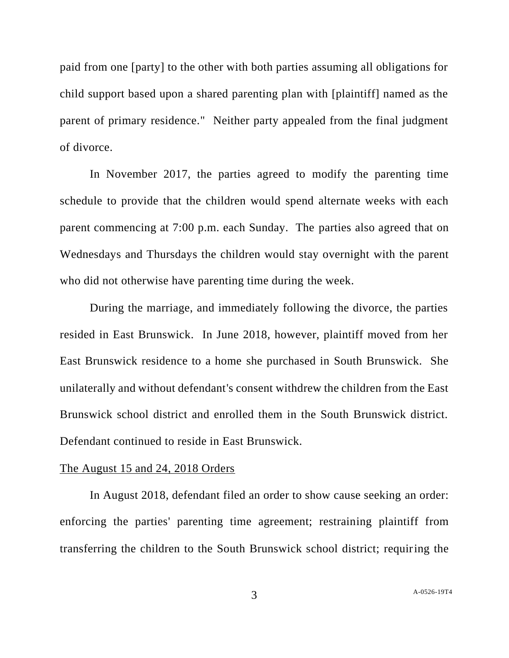paid from one [party] to the other with both parties assuming all obligations for child support based upon a shared parenting plan with [plaintiff] named as the parent of primary residence." Neither party appealed from the final judgment of divorce.

In November 2017, the parties agreed to modify the parenting time schedule to provide that the children would spend alternate weeks with each parent commencing at 7:00 p.m. each Sunday. The parties also agreed that on Wednesdays and Thursdays the children would stay overnight with the parent who did not otherwise have parenting time during the week.

During the marriage, and immediately following the divorce, the parties resided in East Brunswick. In June 2018, however, plaintiff moved from her East Brunswick residence to a home she purchased in South Brunswick. She unilaterally and without defendant's consent withdrew the children from the East Brunswick school district and enrolled them in the South Brunswick district. Defendant continued to reside in East Brunswick.

#### The August 15 and 24, 2018 Orders

In August 2018, defendant filed an order to show cause seeking an order: enforcing the parties' parenting time agreement; restraining plaintiff from transferring the children to the South Brunswick school district; requiring the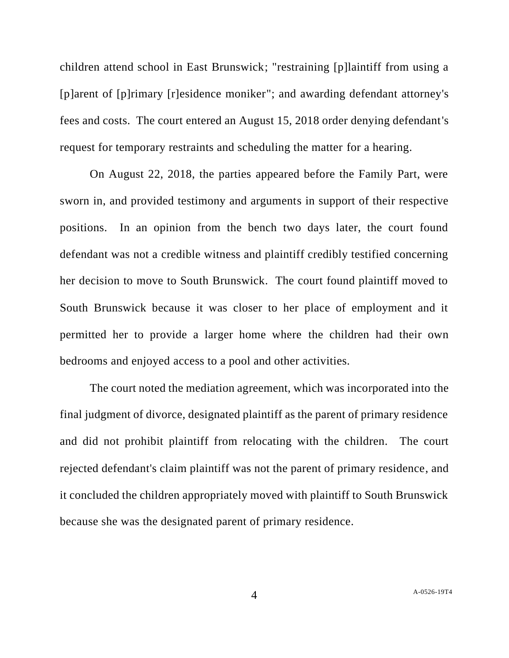children attend school in East Brunswick; "restraining [p]laintiff from using a [p]arent of [p]rimary [r]esidence moniker"; and awarding defendant attorney's fees and costs. The court entered an August 15, 2018 order denying defendant's request for temporary restraints and scheduling the matter for a hearing.

On August 22, 2018, the parties appeared before the Family Part, were sworn in, and provided testimony and arguments in support of their respective positions. In an opinion from the bench two days later, the court found defendant was not a credible witness and plaintiff credibly testified concerning her decision to move to South Brunswick. The court found plaintiff moved to South Brunswick because it was closer to her place of employment and it permitted her to provide a larger home where the children had their own bedrooms and enjoyed access to a pool and other activities.

The court noted the mediation agreement, which was incorporated into the final judgment of divorce, designated plaintiff as the parent of primary residence and did not prohibit plaintiff from relocating with the children. The court rejected defendant's claim plaintiff was not the parent of primary residence, and it concluded the children appropriately moved with plaintiff to South Brunswick because she was the designated parent of primary residence.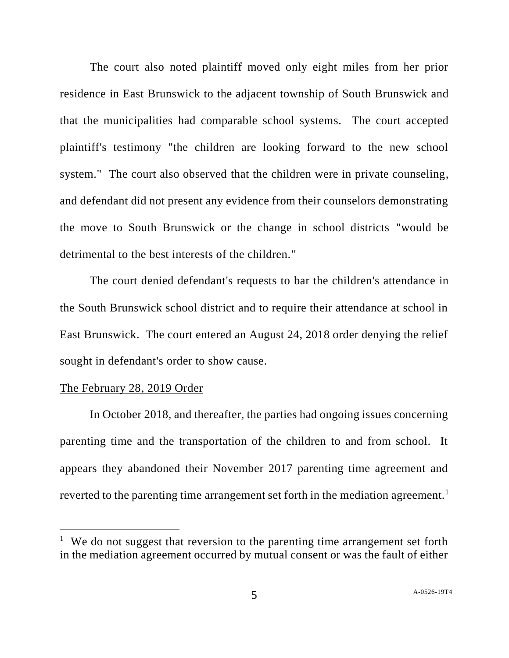The court also noted plaintiff moved only eight miles from her prior residence in East Brunswick to the adjacent township of South Brunswick and that the municipalities had comparable school systems. The court accepted plaintiff's testimony "the children are looking forward to the new school system." The court also observed that the children were in private counseling, and defendant did not present any evidence from their counselors demonstrating the move to South Brunswick or the change in school districts "would be detrimental to the best interests of the children."

The court denied defendant's requests to bar the children's attendance in the South Brunswick school district and to require their attendance at school in East Brunswick. The court entered an August 24, 2018 order denying the relief sought in defendant's order to show cause.

#### The February 28, 2019 Order

In October 2018, and thereafter, the parties had ongoing issues concerning parenting time and the transportation of the children to and from school. It appears they abandoned their November 2017 parenting time agreement and reverted to the parenting time arrangement set forth in the mediation agreement.<sup>1</sup>

<sup>&</sup>lt;sup>1</sup> We do not suggest that reversion to the parenting time arrangement set forth in the mediation agreement occurred by mutual consent or was the fault of either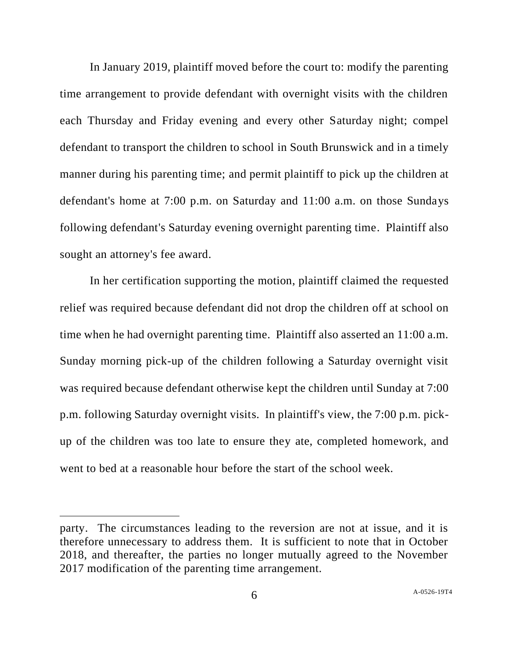In January 2019, plaintiff moved before the court to: modify the parenting time arrangement to provide defendant with overnight visits with the children each Thursday and Friday evening and every other Saturday night; compel defendant to transport the children to school in South Brunswick and in a timely manner during his parenting time; and permit plaintiff to pick up the children at defendant's home at 7:00 p.m. on Saturday and 11:00 a.m. on those Sundays following defendant's Saturday evening overnight parenting time. Plaintiff also sought an attorney's fee award.

In her certification supporting the motion, plaintiff claimed the requested relief was required because defendant did not drop the children off at school on time when he had overnight parenting time. Plaintiff also asserted an 11:00 a.m. Sunday morning pick-up of the children following a Saturday overnight visit was required because defendant otherwise kept the children until Sunday at 7:00 p.m. following Saturday overnight visits. In plaintiff's view, the 7:00 p.m. pickup of the children was too late to ensure they ate, completed homework, and went to bed at a reasonable hour before the start of the school week.

party. The circumstances leading to the reversion are not at issue, and it is therefore unnecessary to address them. It is sufficient to note that in October 2018, and thereafter, the parties no longer mutually agreed to the November 2017 modification of the parenting time arrangement.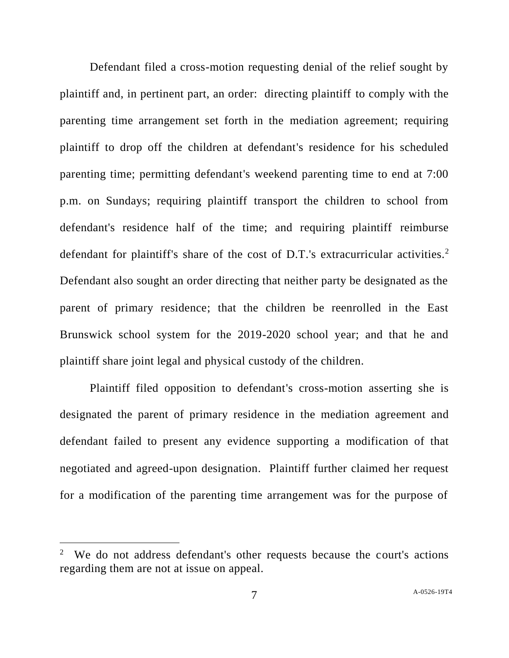Defendant filed a cross-motion requesting denial of the relief sought by plaintiff and, in pertinent part, an order: directing plaintiff to comply with the parenting time arrangement set forth in the mediation agreement; requiring plaintiff to drop off the children at defendant's residence for his scheduled parenting time; permitting defendant's weekend parenting time to end at 7:00 p.m. on Sundays; requiring plaintiff transport the children to school from defendant's residence half of the time; and requiring plaintiff reimburse defendant for plaintiff's share of the cost of D.T.'s extracurricular activities.<sup>2</sup> Defendant also sought an order directing that neither party be designated as the parent of primary residence; that the children be reenrolled in the East Brunswick school system for the 2019-2020 school year; and that he and plaintiff share joint legal and physical custody of the children.

Plaintiff filed opposition to defendant's cross-motion asserting she is designated the parent of primary residence in the mediation agreement and defendant failed to present any evidence supporting a modification of that negotiated and agreed-upon designation. Plaintiff further claimed her request for a modification of the parenting time arrangement was for the purpose of

<sup>2</sup> We do not address defendant's other requests because the court's actions regarding them are not at issue on appeal.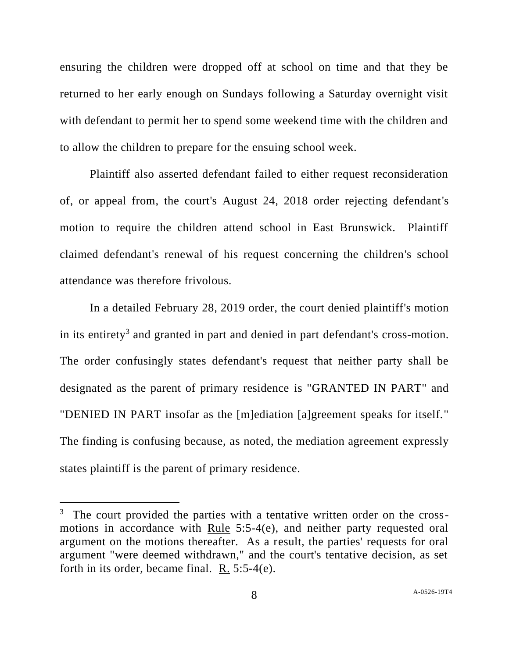ensuring the children were dropped off at school on time and that they be returned to her early enough on Sundays following a Saturday overnight visit with defendant to permit her to spend some weekend time with the children and to allow the children to prepare for the ensuing school week.

Plaintiff also asserted defendant failed to either request reconsideration of, or appeal from, the court's August 24, 2018 order rejecting defendant's motion to require the children attend school in East Brunswick. Plaintiff claimed defendant's renewal of his request concerning the children's school attendance was therefore frivolous.

In a detailed February 28, 2019 order, the court denied plaintiff's motion in its entirety<sup>3</sup> and granted in part and denied in part defendant's cross-motion. The order confusingly states defendant's request that neither party shall be designated as the parent of primary residence is "GRANTED IN PART" and "DENIED IN PART insofar as the [m]ediation [a]greement speaks for itself." The finding is confusing because, as noted, the mediation agreement expressly states plaintiff is the parent of primary residence.

<sup>&</sup>lt;sup>3</sup> The court provided the parties with a tentative written order on the crossmotions in accordance with Rule 5:5-4(e), and neither party requested oral argument on the motions thereafter. As a result, the parties' requests for oral argument "were deemed withdrawn," and the court's tentative decision, as set forth in its order, became final. R. 5:5-4(e).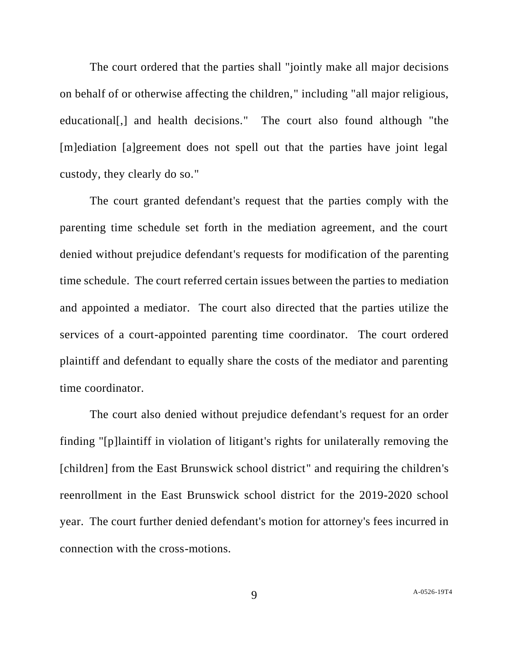The court ordered that the parties shall "jointly make all major decisions on behalf of or otherwise affecting the children," including "all major religious, educational[,] and health decisions." The court also found although "the [m]ediation [a]greement does not spell out that the parties have joint legal custody, they clearly do so."

The court granted defendant's request that the parties comply with the parenting time schedule set forth in the mediation agreement, and the court denied without prejudice defendant's requests for modification of the parenting time schedule. The court referred certain issues between the parties to mediation and appointed a mediator. The court also directed that the parties utilize the services of a court-appointed parenting time coordinator. The court ordered plaintiff and defendant to equally share the costs of the mediator and parenting time coordinator.

The court also denied without prejudice defendant's request for an order finding "[p]laintiff in violation of litigant's rights for unilaterally removing the [children] from the East Brunswick school district" and requiring the children's reenrollment in the East Brunswick school district for the 2019-2020 school year. The court further denied defendant's motion for attorney's fees incurred in connection with the cross-motions.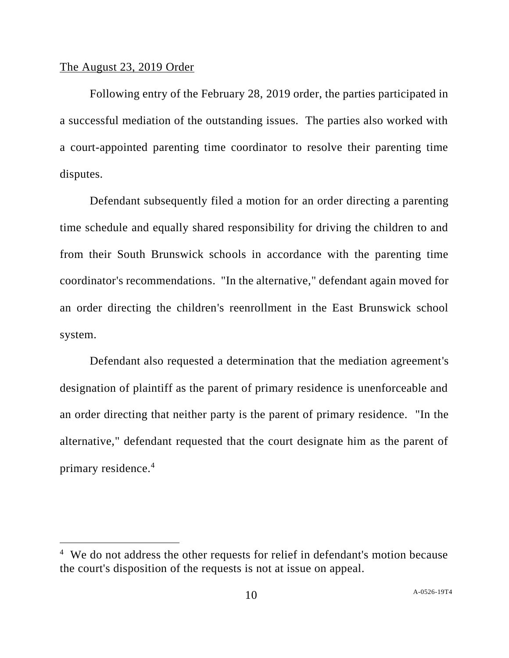#### The August 23, 2019 Order

Following entry of the February 28, 2019 order, the parties participated in a successful mediation of the outstanding issues. The parties also worked with a court-appointed parenting time coordinator to resolve their parenting time disputes.

Defendant subsequently filed a motion for an order directing a parenting time schedule and equally shared responsibility for driving the children to and from their South Brunswick schools in accordance with the parenting time coordinator's recommendations. "In the alternative," defendant again moved for an order directing the children's reenrollment in the East Brunswick school system.

Defendant also requested a determination that the mediation agreement's designation of plaintiff as the parent of primary residence is unenforceable and an order directing that neither party is the parent of primary residence. "In the alternative," defendant requested that the court designate him as the parent of primary residence.<sup>4</sup>

<sup>&</sup>lt;sup>4</sup> We do not address the other requests for relief in defendant's motion because the court's disposition of the requests is not at issue on appeal.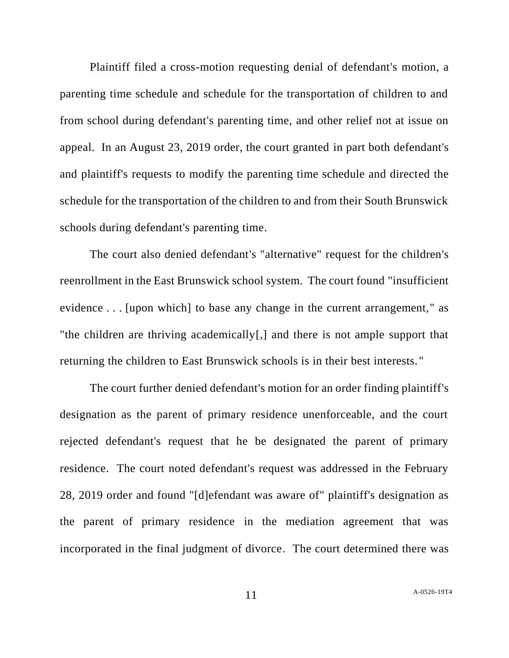Plaintiff filed a cross-motion requesting denial of defendant's motion, a parenting time schedule and schedule for the transportation of children to and from school during defendant's parenting time, and other relief not at issue on appeal. In an August 23, 2019 order, the court granted in part both defendant's and plaintiff's requests to modify the parenting time schedule and directed the schedule for the transportation of the children to and from their South Brunswick schools during defendant's parenting time.

The court also denied defendant's "alternative" request for the children's reenrollment in the East Brunswick school system. The court found "insufficient evidence . . . [upon which] to base any change in the current arrangement," as "the children are thriving academically[,] and there is not ample support that returning the children to East Brunswick schools is in their best interests. "

The court further denied defendant's motion for an order finding plaintiff's designation as the parent of primary residence unenforceable, and the court rejected defendant's request that he be designated the parent of primary residence. The court noted defendant's request was addressed in the February 28, 2019 order and found "[d]efendant was aware of" plaintiff's designation as the parent of primary residence in the mediation agreement that was incorporated in the final judgment of divorce. The court determined there was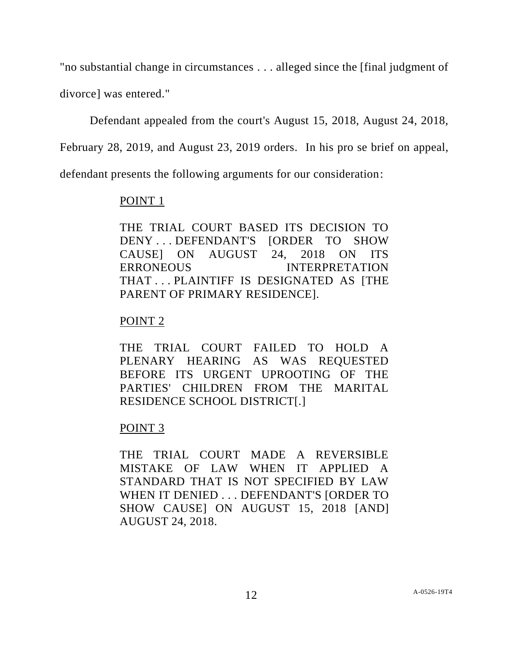"no substantial change in circumstances . . . alleged since the [final judgment of divorce] was entered."

Defendant appealed from the court's August 15, 2018, August 24, 2018,

February 28, 2019, and August 23, 2019 orders. In his pro se brief on appeal,

defendant presents the following arguments for our consideration:

# POINT 1

THE TRIAL COURT BASED ITS DECISION TO DENY . . . DEFENDANT'S [ORDER TO SHOW CAUSE] ON AUGUST 24, 2018 ON ITS ERRONEOUS INTERPRETATION THAT . . . PLAINTIFF IS DESIGNATED AS [THE PARENT OF PRIMARY RESIDENCE].

# POINT 2

THE TRIAL COURT FAILED TO HOLD A PLENARY HEARING AS WAS REQUESTED BEFORE ITS URGENT UPROOTING OF THE PARTIES' CHILDREN FROM THE MARITAL RESIDENCE SCHOOL DISTRICT[.]

# POINT 3

THE TRIAL COURT MADE A REVERSIBLE MISTAKE OF LAW WHEN IT APPLIED A STANDARD THAT IS NOT SPECIFIED BY LAW WHEN IT DENIED . . . DEFENDANT'S [ORDER TO SHOW CAUSE] ON AUGUST 15, 2018 [AND] AUGUST 24, 2018.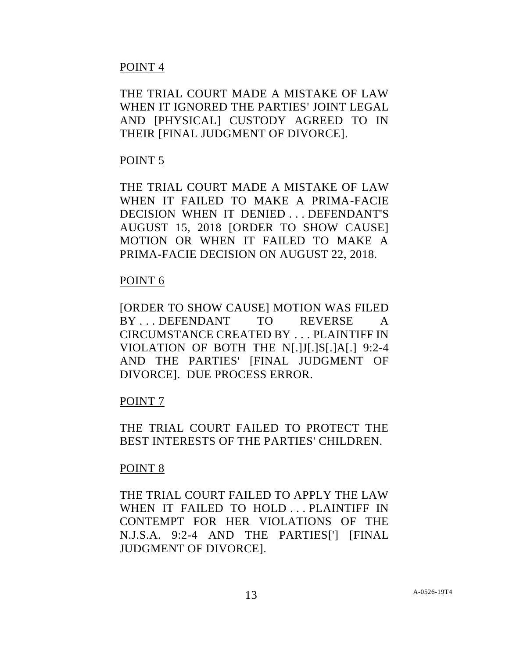## POINT 4

THE TRIAL COURT MADE A MISTAKE OF LAW WHEN IT IGNORED THE PARTIES' JOINT LEGAL AND [PHYSICAL] CUSTODY AGREED TO IN THEIR [FINAL JUDGMENT OF DIVORCE].

## POINT 5

THE TRIAL COURT MADE A MISTAKE OF LAW WHEN IT FAILED TO MAKE A PRIMA-FACIE DECISION WHEN IT DENIED . . . DEFENDANT'S AUGUST 15, 2018 [ORDER TO SHOW CAUSE] MOTION OR WHEN IT FAILED TO MAKE A PRIMA-FACIE DECISION ON AUGUST 22, 2018.

### POINT 6

[ORDER TO SHOW CAUSE] MOTION WAS FILED BY DEFENDANT TO REVERSE A CIRCUMSTANCE CREATED BY . . . PLAINTIFF IN VIOLATION OF BOTH THE N[.]J[.]S[.]A[.] 9:2-4 AND THE PARTIES' [FINAL JUDGMENT OF DIVORCE]. DUE PROCESS ERROR.

### POINT 7

THE TRIAL COURT FAILED TO PROTECT THE BEST INTERESTS OF THE PARTIES' CHILDREN.

### POINT 8

THE TRIAL COURT FAILED TO APPLY THE LAW WHEN IT FAILED TO HOLD . . . PLAINTIFF IN CONTEMPT FOR HER VIOLATIONS OF THE N.J.S.A. 9:2-4 AND THE PARTIES['] [FINAL JUDGMENT OF DIVORCE].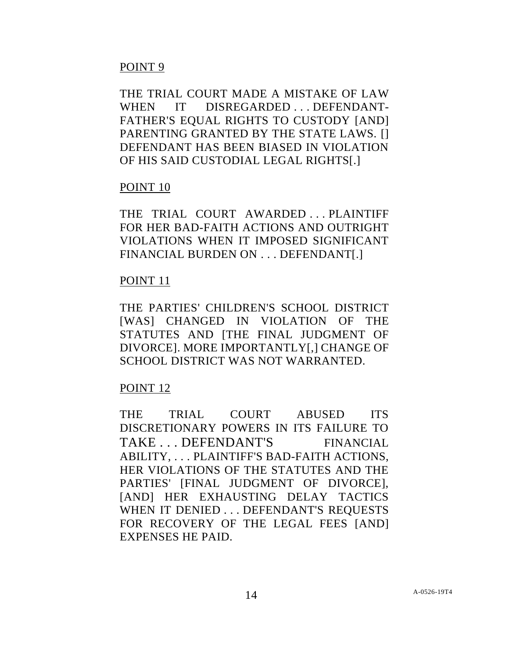## POINT 9

THE TRIAL COURT MADE A MISTAKE OF LAW WHEN IT DISREGARDED ... DEFENDANT-FATHER'S EQUAL RIGHTS TO CUSTODY [AND] PARENTING GRANTED BY THE STATE LAWS. [1] DEFENDANT HAS BEEN BIASED IN VIOLATION OF HIS SAID CUSTODIAL LEGAL RIGHTS[.]

### POINT 10

THE TRIAL COURT AWARDED . . . PLAINTIFF FOR HER BAD-FAITH ACTIONS AND OUTRIGHT VIOLATIONS WHEN IT IMPOSED SIGNIFICANT FINANCIAL BURDEN ON . . . DEFENDANT[.]

#### POINT 11

THE PARTIES' CHILDREN'S SCHOOL DISTRICT [WAS] CHANGED IN VIOLATION OF THE STATUTES AND [THE FINAL JUDGMENT OF DIVORCE]. MORE IMPORTANTLY[,] CHANGE OF SCHOOL DISTRICT WAS NOT WARRANTED.

### POINT 12

THE TRIAL COURT ABUSED ITS DISCRETIONARY POWERS IN ITS FAILURE TO TAKE . . . DEFENDANT'S FINANCIAL ABILITY, . . . PLAINTIFF'S BAD-FAITH ACTIONS, HER VIOLATIONS OF THE STATUTES AND THE PARTIES' [FINAL JUDGMENT OF DIVORCE], [AND] HER EXHAUSTING DELAY TACTICS WHEN IT DENIED . . . DEFENDANT'S REQUESTS FOR RECOVERY OF THE LEGAL FEES [AND] EXPENSES HE PAID.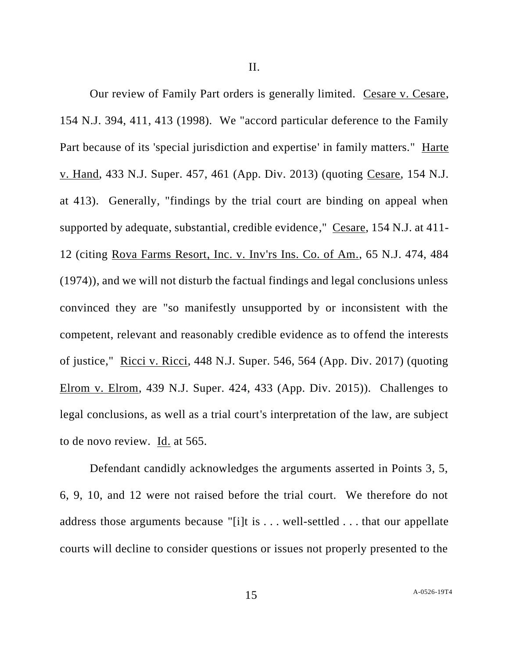II.

Our review of Family Part orders is generally limited. Cesare v. Cesare, 154 N.J. 394, 411, 413 (1998). We "accord particular deference to the Family Part because of its 'special jurisdiction and expertise' in family matters." Harte v. Hand, 433 N.J. Super. 457, 461 (App. Div. 2013) (quoting Cesare, 154 N.J. at 413). Generally, "findings by the trial court are binding on appeal when supported by adequate, substantial, credible evidence," Cesare, 154 N.J. at 411- 12 (citing Rova Farms Resort, Inc. v. Inv'rs Ins. Co. of Am., 65 N.J. 474, 484 (1974)), and we will not disturb the factual findings and legal conclusions unless convinced they are "so manifestly unsupported by or inconsistent with the competent, relevant and reasonably credible evidence as to offend the interests of justice," Ricci v. Ricci, 448 N.J. Super. 546, 564 (App. Div. 2017) (quoting Elrom v. Elrom, 439 N.J. Super. 424, 433 (App. Div. 2015)). Challenges to legal conclusions, as well as a trial court's interpretation of the law, are subject to de novo review. Id. at 565.

Defendant candidly acknowledges the arguments asserted in Points 3, 5, 6, 9, 10, and 12 were not raised before the trial court. We therefore do not address those arguments because "[i]t is . . . well-settled . . . that our appellate courts will decline to consider questions or issues not properly presented to the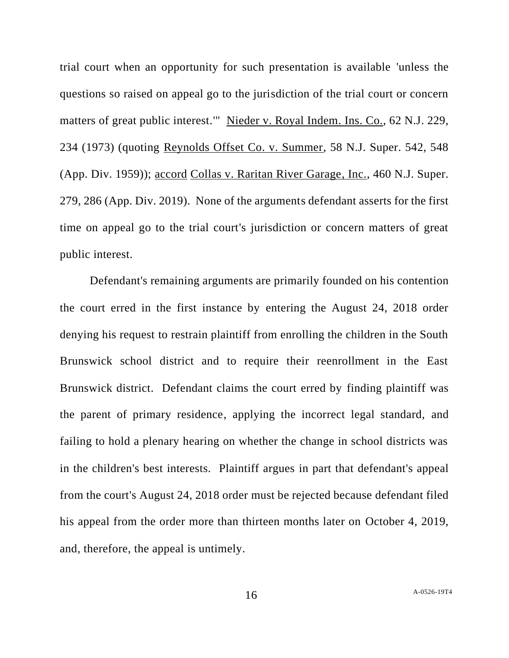trial court when an opportunity for such presentation is available 'unless the questions so raised on appeal go to the jurisdiction of the trial court or concern matters of great public interest.'" Nieder v. Royal Indem. Ins. Co., 62 N.J. 229, 234 (1973) (quoting Reynolds Offset Co. v. Summer, 58 N.J. Super. 542, 548 (App. Div. 1959)); accord Collas v. Raritan River Garage, Inc., 460 N.J. Super. 279, 286 (App. Div. 2019). None of the arguments defendant asserts for the first time on appeal go to the trial court's jurisdiction or concern matters of great public interest.

Defendant's remaining arguments are primarily founded on his contention the court erred in the first instance by entering the August 24, 2018 order denying his request to restrain plaintiff from enrolling the children in the South Brunswick school district and to require their reenrollment in the East Brunswick district. Defendant claims the court erred by finding plaintiff was the parent of primary residence, applying the incorrect legal standard, and failing to hold a plenary hearing on whether the change in school districts was in the children's best interests. Plaintiff argues in part that defendant's appeal from the court's August 24, 2018 order must be rejected because defendant filed his appeal from the order more than thirteen months later on October 4, 2019, and, therefore, the appeal is untimely.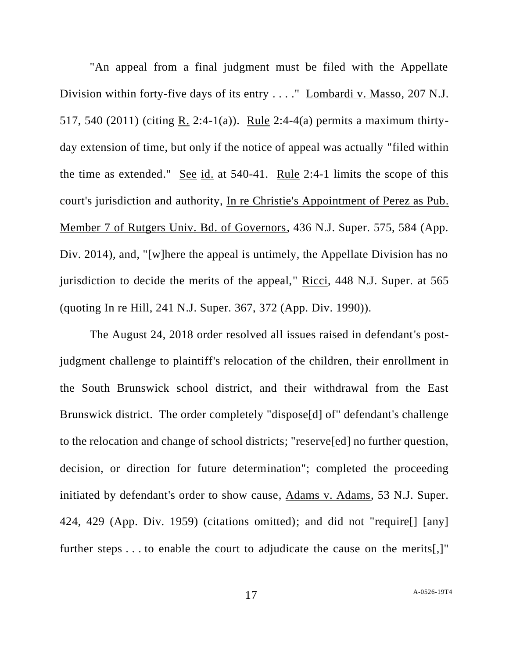"An appeal from a final judgment must be filed with the Appellate Division within forty-five days of its entry . . . . " Lombardi v. Masso, 207 N.J. 517, 540 (2011) (citing R. 2:4-1(a)). Rule 2:4-4(a) permits a maximum thirtyday extension of time, but only if the notice of appeal was actually "filed within the time as extended." See id. at 540-41. Rule 2:4-1 limits the scope of this court's jurisdiction and authority, In re Christie's Appointment of Perez as Pub. Member 7 of Rutgers Univ. Bd. of Governors, 436 N.J. Super. 575, 584 (App. Div. 2014), and, "[w]here the appeal is untimely, the Appellate Division has no jurisdiction to decide the merits of the appeal," Ricci, 448 N.J. Super. at 565 (quoting In re Hill, 241 N.J. Super. 367, 372 (App. Div. 1990)).

The August 24, 2018 order resolved all issues raised in defendant's postjudgment challenge to plaintiff's relocation of the children, their enrollment in the South Brunswick school district, and their withdrawal from the East Brunswick district. The order completely "dispose[d] of" defendant's challenge to the relocation and change of school districts; "reserve[ed] no further question, decision, or direction for future determination"; completed the proceeding initiated by defendant's order to show cause, Adams v. Adams, 53 N.J. Super. 424, 429 (App. Div. 1959) (citations omitted); and did not "require[] [any] further steps . . . to enable the court to adjudicate the cause on the merits[,]"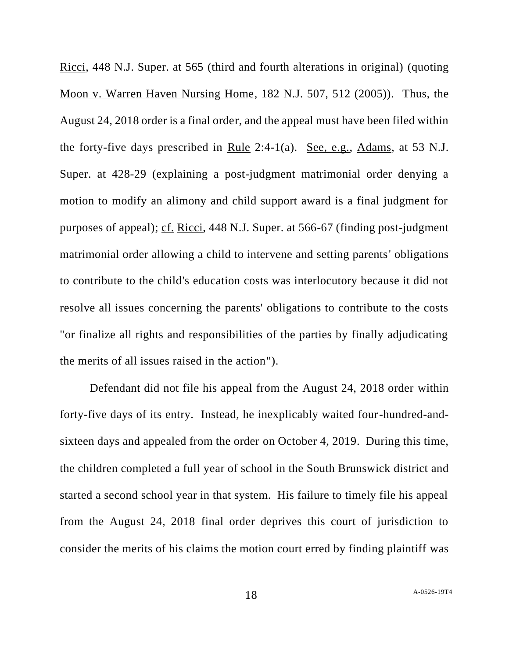Ricci, 448 N.J. Super. at 565 (third and fourth alterations in original) (quoting Moon v. Warren Haven Nursing Home, 182 N.J. 507, 512 (2005)). Thus, the August 24, 2018 order is a final order, and the appeal must have been filed within the forty-five days prescribed in Rule 2:4-1(a). See, e.g., Adams, at 53 N.J. Super. at 428-29 (explaining a post-judgment matrimonial order denying a motion to modify an alimony and child support award is a final judgment for purposes of appeal); cf. Ricci, 448 N.J. Super. at 566-67 (finding post-judgment matrimonial order allowing a child to intervene and setting parents' obligations to contribute to the child's education costs was interlocutory because it did not resolve all issues concerning the parents' obligations to contribute to the costs "or finalize all rights and responsibilities of the parties by finally adjudicating the merits of all issues raised in the action").

Defendant did not file his appeal from the August 24, 2018 order within forty-five days of its entry. Instead, he inexplicably waited four-hundred-andsixteen days and appealed from the order on October 4, 2019. During this time, the children completed a full year of school in the South Brunswick district and started a second school year in that system. His failure to timely file his appeal from the August 24, 2018 final order deprives this court of jurisdiction to consider the merits of his claims the motion court erred by finding plaintiff was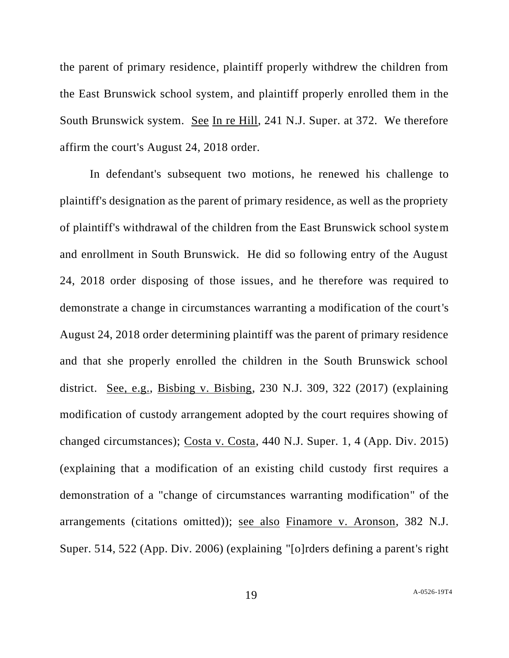the parent of primary residence, plaintiff properly withdrew the children from the East Brunswick school system, and plaintiff properly enrolled them in the South Brunswick system. See In re Hill, 241 N.J. Super. at 372. We therefore affirm the court's August 24, 2018 order.

In defendant's subsequent two motions, he renewed his challenge to plaintiff's designation as the parent of primary residence, as well as the propriety of plaintiff's withdrawal of the children from the East Brunswick school system and enrollment in South Brunswick. He did so following entry of the August 24, 2018 order disposing of those issues, and he therefore was required to demonstrate a change in circumstances warranting a modification of the court's August 24, 2018 order determining plaintiff was the parent of primary residence and that she properly enrolled the children in the South Brunswick school district. See, e.g., Bisbing v. Bisbing, 230 N.J. 309, 322 (2017) (explaining modification of custody arrangement adopted by the court requires showing of changed circumstances); Costa v. Costa, 440 N.J. Super. 1, 4 (App. Div. 2015) (explaining that a modification of an existing child custody first requires a demonstration of a "change of circumstances warranting modification" of the arrangements (citations omitted)); see also Finamore v. Aronson, 382 N.J. Super. 514, 522 (App. Div. 2006) (explaining "[o]rders defining a parent's right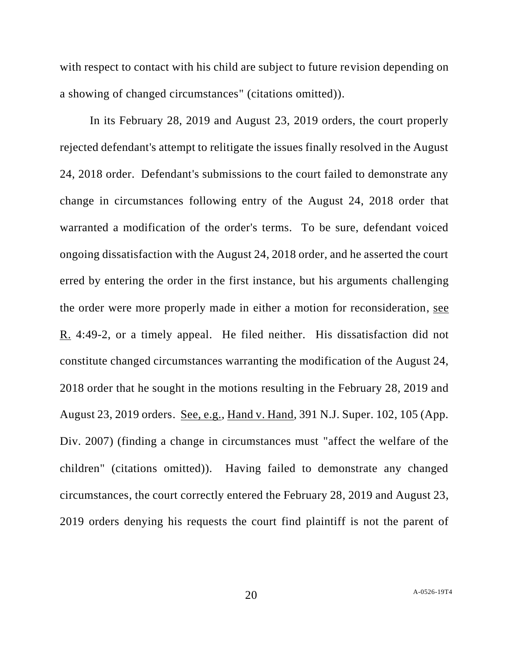with respect to contact with his child are subject to future revision depending on a showing of changed circumstances" (citations omitted)).

In its February 28, 2019 and August 23, 2019 orders, the court properly rejected defendant's attempt to relitigate the issues finally resolved in the August 24, 2018 order. Defendant's submissions to the court failed to demonstrate any change in circumstances following entry of the August 24, 2018 order that warranted a modification of the order's terms. To be sure, defendant voiced ongoing dissatisfaction with the August 24, 2018 order, and he asserted the court erred by entering the order in the first instance, but his arguments challenging the order were more properly made in either a motion for reconsideration, see R. 4:49-2, or a timely appeal. He filed neither. His dissatisfaction did not constitute changed circumstances warranting the modification of the August 24, 2018 order that he sought in the motions resulting in the February 28, 2019 and August 23, 2019 orders. See, e.g., Hand v. Hand, 391 N.J. Super. 102, 105 (App. Div. 2007) (finding a change in circumstances must "affect the welfare of the children" (citations omitted)). Having failed to demonstrate any changed circumstances, the court correctly entered the February 28, 2019 and August 23, 2019 orders denying his requests the court find plaintiff is not the parent of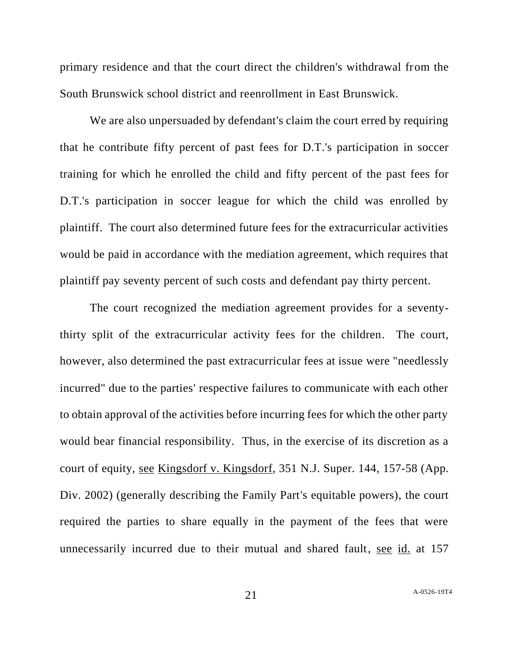primary residence and that the court direct the children's withdrawal from the South Brunswick school district and reenrollment in East Brunswick.

We are also unpersuaded by defendant's claim the court erred by requiring that he contribute fifty percent of past fees for D.T.'s participation in soccer training for which he enrolled the child and fifty percent of the past fees for D.T.'s participation in soccer league for which the child was enrolled by plaintiff. The court also determined future fees for the extracurricular activities would be paid in accordance with the mediation agreement, which requires that plaintiff pay seventy percent of such costs and defendant pay thirty percent.

The court recognized the mediation agreement provides for a seventythirty split of the extracurricular activity fees for the children. The court, however, also determined the past extracurricular fees at issue were "needlessly incurred" due to the parties' respective failures to communicate with each other to obtain approval of the activities before incurring fees for which the other party would bear financial responsibility. Thus, in the exercise of its discretion as a court of equity, see Kingsdorf v. Kingsdorf, 351 N.J. Super. 144, 157-58 (App. Div. 2002) (generally describing the Family Part's equitable powers), the court required the parties to share equally in the payment of the fees that were unnecessarily incurred due to their mutual and shared fault, see id. at 157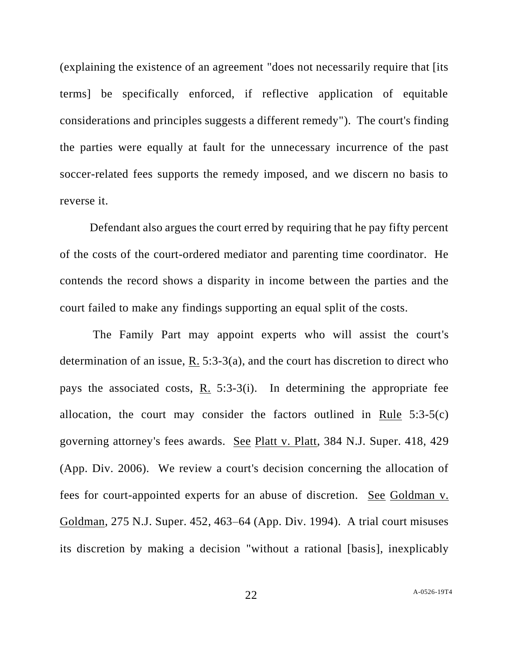(explaining the existence of an agreement "does not necessarily require that [its terms] be specifically enforced, if reflective application of equitable considerations and principles suggests a different remedy"). The court's finding the parties were equally at fault for the unnecessary incurrence of the past soccer-related fees supports the remedy imposed, and we discern no basis to reverse it.

Defendant also argues the court erred by requiring that he pay fifty percent of the costs of the court-ordered mediator and parenting time coordinator. He contends the record shows a disparity in income between the parties and the court failed to make any findings supporting an equal split of the costs.

The Family Part may appoint experts who will assist the court's determination of an issue, R. 5:3-3(a), and the court has discretion to direct who pays the associated costs, R. 5:3-3(i). In determining the appropriate fee allocation, the court may consider the factors outlined in Rule  $5:3-5(c)$ governing attorney's fees awards. See Platt v. Platt, 384 N.J. Super. 418, 429 (App. Div. 2006). We review a court's decision concerning the allocation of fees for court-appointed experts for an abuse of discretion. See Goldman v. Goldman, 275 N.J. Super. 452, 463–64 (App. Div. 1994). A trial court misuses its discretion by making a decision "without a rational [basis], inexplicably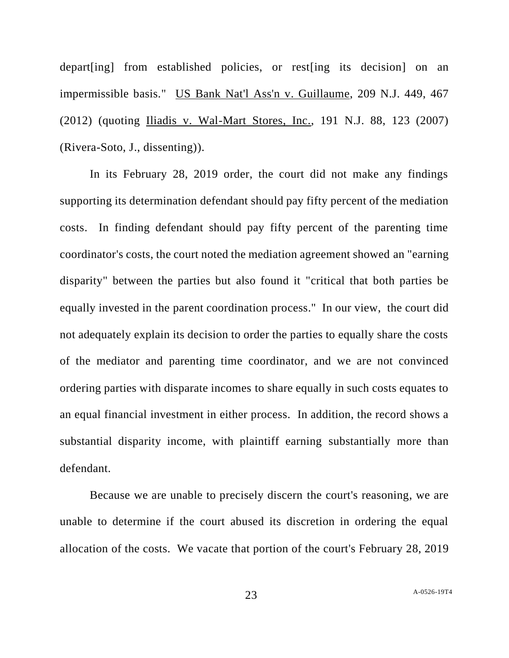depart[ing] from established policies, or rest[ing its decision] on an impermissible basis." US Bank Nat'l Ass'n v. Guillaume, 209 N.J. 449, 467 (2012) (quoting Iliadis v. Wal-Mart Stores, Inc., 191 N.J. 88, 123 (2007) (Rivera-Soto, J., dissenting)).

In its February 28, 2019 order, the court did not make any findings supporting its determination defendant should pay fifty percent of the mediation costs. In finding defendant should pay fifty percent of the parenting time coordinator's costs, the court noted the mediation agreement showed an "earning disparity" between the parties but also found it "critical that both parties be equally invested in the parent coordination process." In our view, the court did not adequately explain its decision to order the parties to equally share the costs of the mediator and parenting time coordinator, and we are not convinced ordering parties with disparate incomes to share equally in such costs equates to an equal financial investment in either process. In addition, the record shows a substantial disparity income, with plaintiff earning substantially more than defendant.

Because we are unable to precisely discern the court's reasoning, we are unable to determine if the court abused its discretion in ordering the equal allocation of the costs. We vacate that portion of the court's February 28, 2019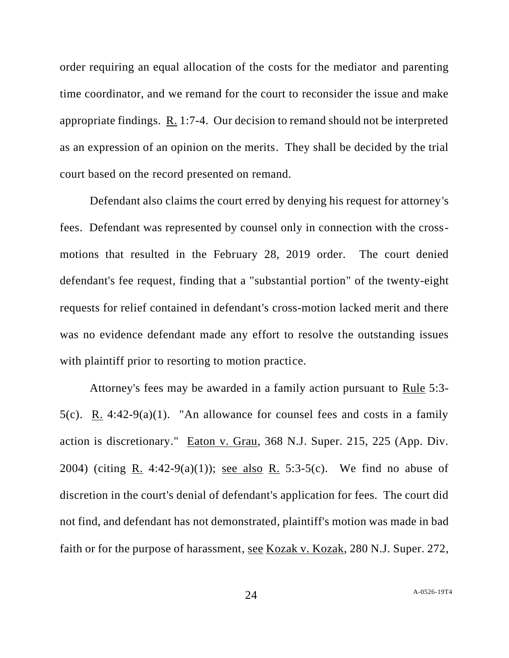order requiring an equal allocation of the costs for the mediator and parenting time coordinator, and we remand for the court to reconsider the issue and make appropriate findings.  $R_1$  1:7-4. Our decision to remand should not be interpreted as an expression of an opinion on the merits. They shall be decided by the trial court based on the record presented on remand.

Defendant also claims the court erred by denying his request for attorney's fees. Defendant was represented by counsel only in connection with the crossmotions that resulted in the February 28, 2019 order. The court denied defendant's fee request, finding that a "substantial portion" of the twenty-eight requests for relief contained in defendant's cross-motion lacked merit and there was no evidence defendant made any effort to resolve the outstanding issues with plaintiff prior to resorting to motion practice.

Attorney's fees may be awarded in a family action pursuant to Rule 5:3- 5(c). R. 4:42-9(a)(1). "An allowance for counsel fees and costs in a family action is discretionary." Eaton v. Grau, 368 N.J. Super. 215, 225 (App. Div. 2004) (citing R. 4:42-9(a)(1)); <u>see also R.</u> 5:3-5(c). We find no abuse of discretion in the court's denial of defendant's application for fees. The court did not find, and defendant has not demonstrated, plaintiff's motion was made in bad faith or for the purpose of harassment, see Kozak v. Kozak, 280 N.J. Super. 272,